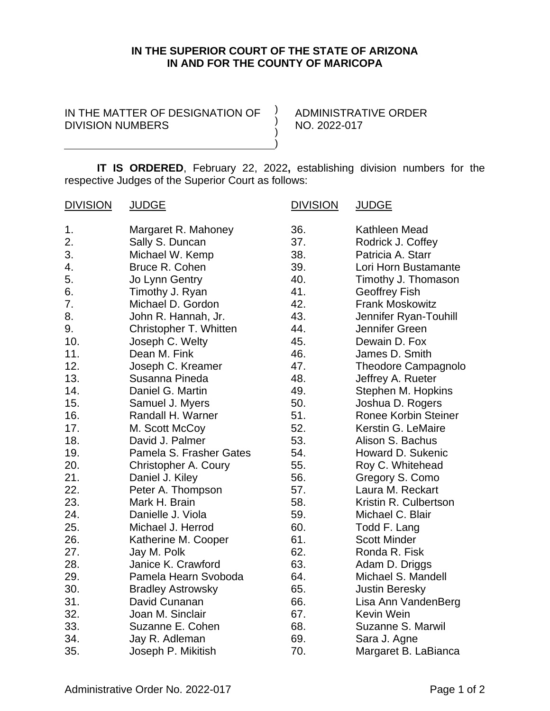## **IN THE SUPERIOR COURT OF THE STATE OF ARIZONA IN AND FOR THE COUNTY OF MARICOPA**

IN THE MATTER OF DESIGNATION OF  $\rightarrow$ DIVISION NUMBERS

ADMINISTRATIVE ORDER NO. 2022-017

**IT IS ORDERED**, February 22, 2022**,** establishing division numbers for the respective Judges of the Superior Court as follows:

) ) )

| <b>DIVISION</b> | <b>JUDGE</b>             | <b>DIVISION</b> | <b>JUDGE</b>                |
|-----------------|--------------------------|-----------------|-----------------------------|
| 1.              | Margaret R. Mahoney      | 36.             | Kathleen Mead               |
| 2.              | Sally S. Duncan          | 37.             | Rodrick J. Coffey           |
| 3.              | Michael W. Kemp          | 38.             | Patricia A. Starr           |
| 4.              | Bruce R. Cohen           | 39.             | Lori Horn Bustamante        |
| 5.              | Jo Lynn Gentry           | 40.             | Timothy J. Thomason         |
| 6.              | Timothy J. Ryan          | 41.             | <b>Geoffrey Fish</b>        |
| 7.              | Michael D. Gordon        | 42.             | <b>Frank Moskowitz</b>      |
| 8.              | John R. Hannah, Jr.      | 43.             | Jennifer Ryan-Touhill       |
| 9.              | Christopher T. Whitten   | 44.             | Jennifer Green              |
| 10.             | Joseph C. Welty          | 45.             | Dewain D. Fox               |
| 11.             | Dean M. Fink             | 46.             | James D. Smith              |
| 12.             | Joseph C. Kreamer        | 47.             | Theodore Campagnolo         |
| 13.             | Susanna Pineda           | 48.             | Jeffrey A. Rueter           |
| 14.             | Daniel G. Martin         | 49.             | Stephen M. Hopkins          |
| 15.             | Samuel J. Myers          | 50.             | Joshua D. Rogers            |
| 16.             | Randall H. Warner        | 51.             | <b>Ronee Korbin Steiner</b> |
| 17.             | M. Scott McCoy           | 52.             | Kerstin G. LeMaire          |
| 18.             | David J. Palmer          | 53.             | Alison S. Bachus            |
| 19.             | Pamela S. Frasher Gates  | 54.             | Howard D. Sukenic           |
| 20.             | Christopher A. Coury     | 55.             | Roy C. Whitehead            |
| 21.             | Daniel J. Kiley          | 56.             | Gregory S. Como             |
| 22.             | Peter A. Thompson        | 57.             | Laura M. Reckart            |
| 23.             | Mark H. Brain            | 58.             | Kristin R. Culbertson       |
| 24.             | Danielle J. Viola        | 59.             | Michael C. Blair            |
| 25.             | Michael J. Herrod        | 60.             | Todd F. Lang                |
| 26.             | Katherine M. Cooper      | 61.             | <b>Scott Minder</b>         |
| 27.             | Jay M. Polk              | 62.             | Ronda R. Fisk               |
| 28.             | Janice K. Crawford       | 63.             | Adam D. Driggs              |
| 29.             | Pamela Hearn Svoboda     | 64.             | Michael S. Mandell          |
| 30.             | <b>Bradley Astrowsky</b> | 65.             | <b>Justin Beresky</b>       |
| 31.             | David Cunanan            | 66.             | Lisa Ann VandenBerg         |
| 32.             | Joan M. Sinclair         | 67.             | Kevin Wein                  |
| 33.             | Suzanne E. Cohen         | 68.             | Suzanne S. Marwil           |
| 34.             | Jay R. Adleman           | 69.             | Sara J. Agne                |
| 35.             | Joseph P. Mikitish       | 70.             | Margaret B. LaBianca        |